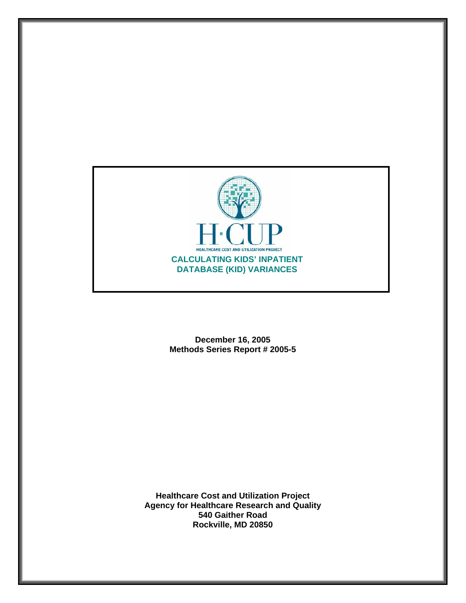

**December 16, 2005 Methods Series Report # 2005-5** 

**Healthcare Cost and Utilization Project Agency for Healthcare Research and Quality 540 Gaither Road Rockville, MD 20850**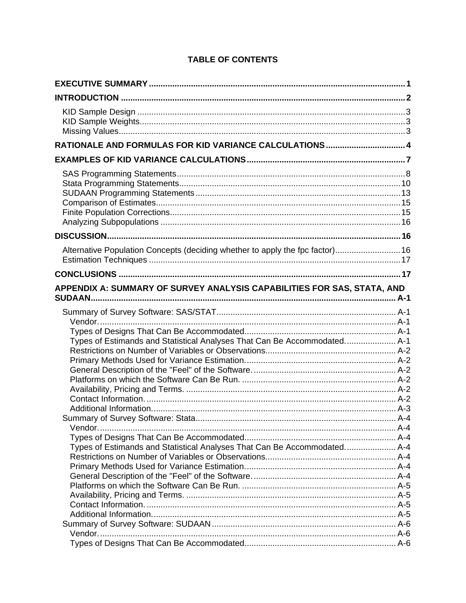| RATIONALE AND FORMULAS FOR KID VARIANCE CALCULATIONS  4<br>Alternative Population Concepts (deciding whether to apply the fpc factor) 16<br>APPENDIX A: SUMMARY OF SURVEY ANALYSIS CAPABILITIES FOR SAS, STATA, AND<br><b>SUDAAN.</b><br>Types of Estimands and Statistical Analyses That Can Be Accommodated A-1<br>Types of Estimands and Statistical Analyses That Can Be Accommodated A-4 |  |
|-----------------------------------------------------------------------------------------------------------------------------------------------------------------------------------------------------------------------------------------------------------------------------------------------------------------------------------------------------------------------------------------------|--|
|                                                                                                                                                                                                                                                                                                                                                                                               |  |
|                                                                                                                                                                                                                                                                                                                                                                                               |  |
|                                                                                                                                                                                                                                                                                                                                                                                               |  |
|                                                                                                                                                                                                                                                                                                                                                                                               |  |
|                                                                                                                                                                                                                                                                                                                                                                                               |  |
|                                                                                                                                                                                                                                                                                                                                                                                               |  |
|                                                                                                                                                                                                                                                                                                                                                                                               |  |
|                                                                                                                                                                                                                                                                                                                                                                                               |  |
|                                                                                                                                                                                                                                                                                                                                                                                               |  |
|                                                                                                                                                                                                                                                                                                                                                                                               |  |
|                                                                                                                                                                                                                                                                                                                                                                                               |  |

# **TABLE OF CONTENTS**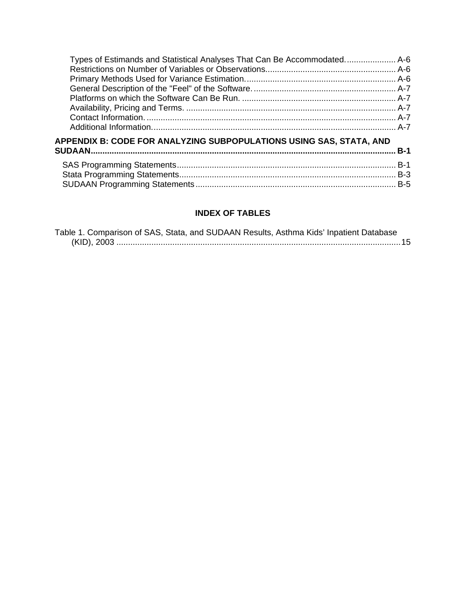| Types of Estimands and Statistical Analyses That Can Be Accommodated A-6 |       |
|--------------------------------------------------------------------------|-------|
| APPENDIX B: CODE FOR ANALYZING SUBPOPULATIONS USING SAS, STATA, AND      | $B-1$ |

# **INDEX OF TABLES**

|  | Table 1. Comparison of SAS, Stata, and SUDAAN Results, Asthma Kids' Inpatient Database |
|--|----------------------------------------------------------------------------------------|
|  |                                                                                        |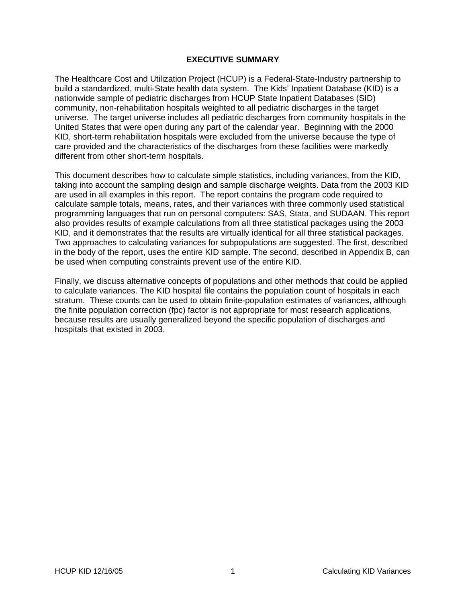### **EXECUTIVE SUMMARY**

<span id="page-3-0"></span>The Healthcare Cost and Utilization Project (HCUP) is a Federal-State-Industry partnership to build a standardized, multi-State health data system. The Kids' Inpatient Database (KID) is a nationwide sample of pediatric discharges from HCUP State Inpatient Databases (SID) community, non-rehabilitation hospitals weighted to all pediatric discharges in the target universe. The target universe includes all pediatric discharges from community hospitals in the United States that were open during any part of the calendar year. Beginning with the 2000 KID, short-term rehabilitation hospitals were excluded from the universe because the type of care provided and the characteristics of the discharges from these facilities were markedly different from other short-term hospitals.

This document describes how to calculate simple statistics, including variances, from the KID, taking into account the sampling design and sample discharge weights. Data from the 2003 KID are used in all examples in this report. The report contains the program code required to calculate sample totals, means, rates, and their variances with three commonly used statistical programming languages that run on personal computers: SAS, Stata, and SUDAAN. This report also provides results of example calculations from all three statistical packages using the 2003 KID, and it demonstrates that the results are virtually identical for all three statistical packages. Two approaches to calculating variances for subpopulations are suggested. The first, described in the body of the report, uses the entire KID sample. The second, described in Appendix B, can be used when computing constraints prevent use of the entire KID.

Finally, we discuss alternative concepts of populations and other methods that could be applied to calculate variances. The KID hospital file contains the population count of hospitals in each stratum. These counts can be used to obtain finite-population estimates of variances, although the finite population correction (fpc) factor is not appropriate for most research applications, because results are usually generalized beyond the specific population of discharges and hospitals that existed in 2003.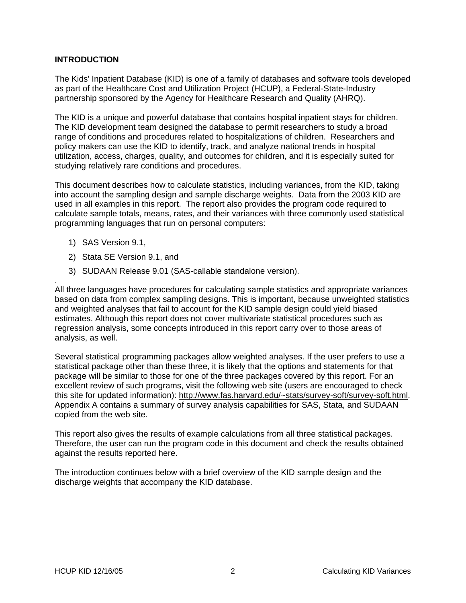## <span id="page-4-0"></span>**INTRODUCTION**

The Kids' Inpatient Database (KID) is one of a family of databases and software tools developed as part of the Healthcare Cost and Utilization Project (HCUP), a Federal-State-Industry partnership sponsored by the Agency for Healthcare Research and Quality (AHRQ).

The KID is a unique and powerful database that contains hospital inpatient stays for children. The KID development team designed the database to permit researchers to study a broad range of conditions and procedures related to hospitalizations of children. Researchers and policy makers can use the KID to identify, track, and analyze national trends in hospital utilization, access, charges, quality, and outcomes for children, and it is especially suited for studying relatively rare conditions and procedures.

This document describes how to calculate statistics, including variances, from the KID, taking into account the sampling design and sample discharge weights. Data from the 2003 KID are used in all examples in this report. The report also provides the program code required to calculate sample totals, means, rates, and their variances with three commonly used statistical programming languages that run on personal computers:

1) SAS Version 9.1,

.

- 2) Stata SE Version 9.1, and
- 3) SUDAAN Release 9.01 (SAS-callable standalone version).

All three languages have procedures for calculating sample statistics and appropriate variances based on data from complex sampling designs. This is important, because unweighted statistics and weighted analyses that fail to account for the KID sample design could yield biased estimates. Although this report does not cover multivariate statistical procedures such as regression analysis, some concepts introduced in this report carry over to those areas of analysis, as well.

Several statistical programming packages allow weighted analyses. If the user prefers to use a statistical package other than these three, it is likely that the options and statements for that package will be similar to those for one of the three packages covered by this report. For an excellent review of such programs, visit the following web site (users are encouraged to check this site for updated information): [http://www.fas.harvard.edu/~stats/survey-soft/survey-soft.html](http://www.fas.harvard.edu/%7Estats/survey-soft/survey-soft.html). Appendix A contains a summary of survey analysis capabilities for SAS, Stata, and SUDAAN copied from the web site.

This report also gives the results of example calculations from all three statistical packages. Therefore, the user can run the program code in this document and check the results obtained against the results reported here.

The introduction continues below with a brief overview of the KID sample design and the discharge weights that accompany the KID database.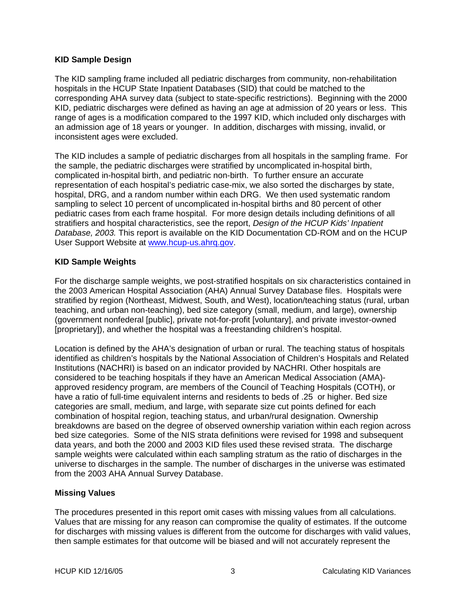### <span id="page-5-0"></span>**KID Sample Design**

The KID sampling frame included all pediatric discharges from community, non-rehabilitation hospitals in the HCUP State Inpatient Databases (SID) that could be matched to the corresponding AHA survey data (subject to state-specific restrictions). Beginning with the 2000 KID, pediatric discharges were defined as having an age at admission of 20 years or less. This range of ages is a modification compared to the 1997 KID, which included only discharges with an admission age of 18 years or younger. In addition, discharges with missing, invalid, or inconsistent ages were excluded.

The KID includes a sample of pediatric discharges from all hospitals in the sampling frame. For the sample, the pediatric discharges were stratified by uncomplicated in-hospital birth, complicated in-hospital birth, and pediatric non-birth. To further ensure an accurate representation of each hospital's pediatric case-mix, we also sorted the discharges by state, hospital, DRG, and a random number within each DRG. We then used systematic random sampling to select 10 percent of uncomplicated in-hospital births and 80 percent of other pediatric cases from each frame hospital. For more design details including definitions of all stratifiers and hospital characteristics, see the report, *Design of the HCUP Kids' Inpatient Database, 2003.* This report is available on the KID Documentation CD-ROM and on the HCUP User Support Website at [www.hcup-us.ahrq.gov.](http://www.hcup-us.ahrq.gov/)

## **KID Sample Weights**

For the discharge sample weights, we post-stratified hospitals on six characteristics contained in the 2003 American Hospital Association (AHA) Annual Survey Database files. Hospitals were stratified by region (Northeast, Midwest, South, and West), location/teaching status (rural, urban teaching, and urban non-teaching), bed size category (small, medium, and large), ownership (government nonfederal [public], private not-for-profit [voluntary], and private investor-owned [proprietary]), and whether the hospital was a freestanding children's hospital.

Location is defined by the AHA's designation of urban or rural. The teaching status of hospitals identified as children's hospitals by the National Association of Children's Hospitals and Related Institutions (NACHRI) is based on an indicator provided by NACHRI. Other hospitals are considered to be teaching hospitals if they have an American Medical Association (AMA) approved residency program, are members of the Council of Teaching Hospitals (COTH), or have a ratio of full-time equivalent interns and residents to beds of .25 or higher. Bed size categories are small, medium, and large, with separate size cut points defined for each combination of hospital region, teaching status, and urban/rural designation. Ownership breakdowns are based on the degree of observed ownership variation within each region across bed size categories. Some of the NIS strata definitions were revised for 1998 and subsequent data years, and both the 2000 and 2003 KID files used these revised strata. The discharge sample weights were calculated within each sampling stratum as the ratio of discharges in the universe to discharges in the sample. The number of discharges in the universe was estimated from the 2003 AHA Annual Survey Database.

## **Missing Values**

The procedures presented in this report omit cases with missing values from all calculations. Values that are missing for any reason can compromise the quality of estimates. If the outcome for discharges with missing values is different from the outcome for discharges with valid values, then sample estimates for that outcome will be biased and will not accurately represent the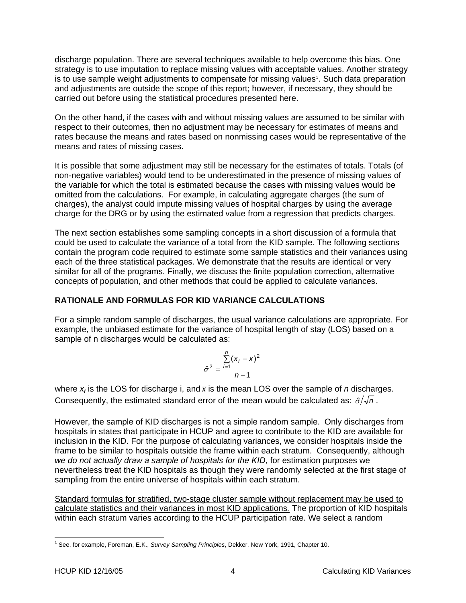<span id="page-6-0"></span>discharge population. There are several techniques available to help overcome this bias. One strategy is to use imputation to replace missing values with acceptable values. Another strategy is to use sample weight adjustments to compensate for missing values<sup>[1](#page-6-1)</sup>. Such data preparation and adjustments are outside the scope of this report; however, if necessary, they should be carried out before using the statistical procedures presented here.

On the other hand, if the cases with and without missing values are assumed to be similar with respect to their outcomes, then no adjustment may be necessary for estimates of means and rates because the means and rates based on nonmissing cases would be representative of the means and rates of missing cases.

It is possible that some adjustment may still be necessary for the estimates of totals. Totals (of non-negative variables) would tend to be underestimated in the presence of missing values of the variable for which the total is estimated because the cases with missing values would be omitted from the calculations. For example, in calculating aggregate charges (the sum of charges), the analyst could impute missing values of hospital charges by using the average charge for the DRG or by using the estimated value from a regression that predicts charges.

The next section establishes some sampling concepts in a short discussion of a formula that could be used to calculate the variance of a total from the KID sample. The following sections contain the program code required to estimate some sample statistics and their variances using each of the three statistical packages. We demonstrate that the results are identical or very similar for all of the programs. Finally, we discuss the finite population correction, alternative concepts of population, and other methods that could be applied to calculate variances.

## **RATIONALE AND FORMULAS FOR KID VARIANCE CALCULATIONS**

For a simple random sample of discharges, the usual variance calculations are appropriate. For example, the unbiased estimate for the variance of hospital length of stay (LOS) based on a sample of n discharges would be calculated as:

$$
\hat{\sigma}^2 = \frac{\sum_{i=1}^n (x_i - \overline{x})^2}{n-1}
$$

where  $x_i$  is the LOS for discharge i, and  $\bar{x}$  is the mean LOS over the sample of *n* discharges. Consequently, the estimated standard error of the mean would be calculated as:  $\hat{\sigma}/\sqrt{n}$ .

However, the sample of KID discharges is not a simple random sample. Only discharges from hospitals in states that participate in HCUP and agree to contribute to the KID are available for inclusion in the KID. For the purpose of calculating variances, we consider hospitals inside the frame to be similar to hospitals outside the frame within each stratum. Consequently, although *we do not actually draw a sample of hospitals for the KID*, for estimation purposes we nevertheless treat the KID hospitals as though they were randomly selected at the first stage of sampling from the entire universe of hospitals within each stratum.

Standard formulas for stratified, two-stage cluster sample without replacement may be used to calculate statistics and their variances in most KID applications*.* The proportion of KID hospitals within each stratum varies according to the HCUP participation rate. We select a random

<span id="page-6-1"></span><sup>-</sup>1 See, for example, Foreman, E.K., *Survey Sampling Principles*, Dekker, New York, 1991, Chapter 10.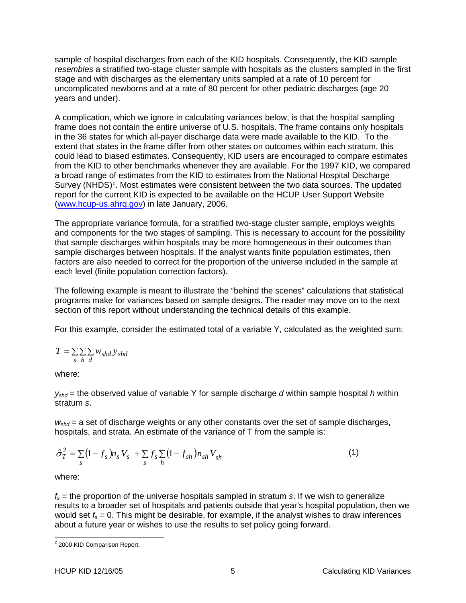sample of hospital discharges from each of the KID hospitals. Consequently, the KID sample *resembles* a stratified two-stage cluster sample with hospitals as the clusters sampled in the first stage and with discharges as the elementary units sampled at a rate of 10 percent for uncomplicated newborns and at a rate of 80 percent for other pediatric discharges (age 20 years and under).

A complication, which we ignore in calculating variances below, is that the hospital sampling frame does not contain the entire universe of U.S. hospitals. The frame contains only hospitals in the 36 states for which all-payer discharge data were made available to the KID. To the extent that states in the frame differ from other states on outcomes within each stratum, this could lead to biased estimates. Consequently, KID users are encouraged to compare estimates from the KID to other benchmarks whenever they are available. For the 1997 KID, we compared a broad range of estimates from the KID to estimates from the National Hospital Discharge Survey (NHDS)<sup>[2](#page-7-0)</sup>. Most estimates were consistent between the two data sources. The updated report for the current KID is expected to be available on the HCUP User Support Website ([www.hcup-us.ahrq.gov\)](http://www.hcup-us.ahrq.gov/) in late January, 2006.

The appropriate variance formula, for a stratified two-stage cluster sample, employs weights and components for the two stages of sampling. This is necessary to account for the possibility that sample discharges within hospitals may be more homogeneous in their outcomes than sample discharges between hospitals. If the analyst wants finite population estimates, then factors are also needed to correct for the proportion of the universe included in the sample at each level (finite population correction factors).

The following example is meant to illustrate the "behind the scenes" calculations that statistical programs make for variances based on sample designs. The reader may move on to the next section of this report without understanding the technical details of this example.

For this example, consider the estimated total of a variable Y, calculated as the weighted sum:

$$
T = \sum_{s} \sum_{h} \sum_{d} w_{shd} y_{shd}
$$

where:

*yshd* = the observed value of variable Y for sample discharge *d* within sample hospital *h* within stratum *s*.

 $w_{\text{shd}}$  = a set of discharge weights or any other constants over the set of sample discharges, hospitals, and strata. An estimate of the variance of T from the sample is:

$$
\hat{\sigma}_T^2 = \sum_s (1 - f_s) n_s V_s + \sum_s f_s \sum_h (1 - f_{sh}) n_{sh} V_{sh}
$$
\n(1)

where:

*fs* = the proportion of the universe hospitals sampled in stratum *s*. If we wish to generalize results to a broader set of hospitals and patients outside that year's hospital population, then we would set  $f_s = 0$ . This might be desirable, for example, if the analyst wishes to draw inferences about a future year or wishes to use the results to set policy going forward.

<span id="page-7-0"></span> 2 2000 KID Comparison Report.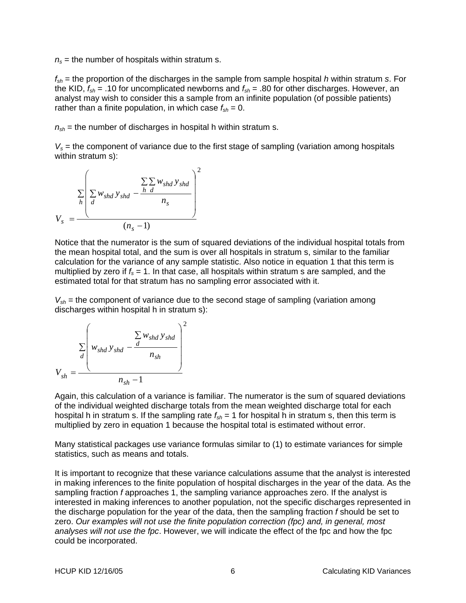$n<sub>s</sub>$  = the number of hospitals within stratum s.

*fsh* = the proportion of the discharges in the sample from sample hospital *h* within stratum *s*. For the KID,  $f_{sh}$  = .10 for uncomplicated newborns and  $f_{sh}$  = .80 for other discharges. However, an analyst may wish to consider this a sample from an infinite population (of possible patients) rather than a finite population, in which case  $f_{sh} = 0$ .

 $n_{sh}$  = the number of discharges in hospital h within stratum s.

 $V_s$  = the component of variance due to the first stage of sampling (variation among hospitals within stratum s):

$$
V_s = \frac{\sum_{h} \left( \sum_{d} w_{shd} y_{shd} - \frac{\sum_{h} \sum_{d} w_{shd} y_{shd}}{n_s} \right)^2}{(n_s - 1)}
$$

Notice that the numerator is the sum of squared deviations of the individual hospital totals from the mean hospital total, and the sum is over all hospitals in stratum s, similar to the familiar calculation for the variance of any sample statistic. Also notice in equation 1 that this term is multiplied by zero if  $f_s = 1$ . In that case, all hospitals within stratum s are sampled, and the estimated total for that stratum has no sampling error associated with it.

*Vsh* = the component of variance due to the second stage of sampling (variation among discharges within hospital h in stratum s):

$$
V_{sh} = \frac{\sum_{d} w_{shd} y_{shd} - \frac{\sum_{d} w_{shd} y_{shd}}{n_{sh}}}{n_{sh} - 1}
$$

Again, this calculation of a variance is familiar. The numerator is the sum of squared deviations of the individual weighted discharge totals from the mean weighted discharge total for each hospital h in stratum s. If the sampling rate  $f_{sh}$  = 1 for hospital h in stratum s, then this term is multiplied by zero in equation 1 because the hospital total is estimated without error.

Many statistical packages use variance formulas similar to (1) to estimate variances for simple statistics, such as means and totals.

It is important to recognize that these variance calculations assume that the analyst is interested in making inferences to the finite population of hospital discharges in the year of the data. As the sampling fraction *f* approaches 1, the sampling variance approaches zero. If the analyst is interested in making inferences to another population, not the specific discharges represented in the discharge population for the year of the data, then the sampling fraction *f* should be set to zero. *Our examples will not use the finite population correction (fpc) and, in general, most analyses will not use the fpc*. However, we will indicate the effect of the fpc and how the fpc could be incorporated.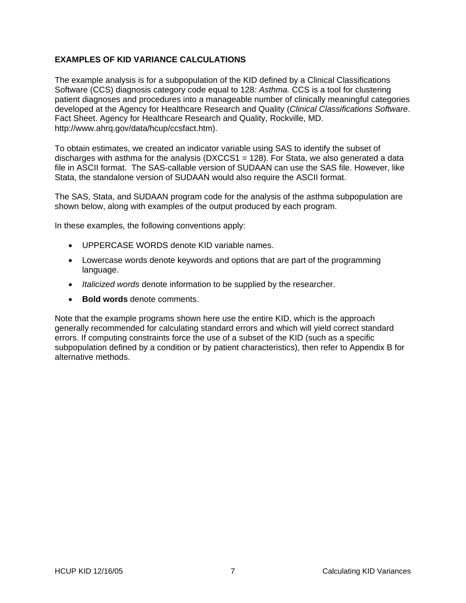## <span id="page-9-0"></span>**EXAMPLES OF KID VARIANCE CALCULATIONS**

The example analysis is for a subpopulation of the KID defined by a Clinical Classifications Software (CCS) diagnosis category code equal to 128*: Asthma.* CCS is a tool for clustering patient diagnoses and procedures into a manageable number of clinically meaningful categories developed at the Agency for Healthcare Research and Quality (*Clinical Classifications Software*. Fact Sheet. Agency for Healthcare Research and Quality, Rockville, MD. http://www.ahrq.gov/data/hcup/ccsfact.htm).

To obtain estimates, we created an indicator variable using SAS to identify the subset of discharges with asthma for the analysis ( $DXCCS1 = 128$ ). For Stata, we also generated a data file in ASCII format. The SAS-callable version of SUDAAN can use the SAS file. However, like Stata, the standalone version of SUDAAN would also require the ASCII format.

The SAS, Stata, and SUDAAN program code for the analysis of the asthma subpopulation are shown below, along with examples of the output produced by each program.

In these examples, the following conventions apply:

- UPPERCASE WORDS denote KID variable names.
- Lowercase words denote keywords and options that are part of the programming language.
- *Italicized words* denote information to be supplied by the researcher.
- **Bold words** denote comments.

Note that the example programs shown here use the entire KID, which is the approach generally recommended for calculating standard errors and which will yield correct standard errors. If computing constraints force the use of a subset of the KID (such as a specific subpopulation defined by a condition or by patient characteristics), then refer to Appendix B for alternative methods.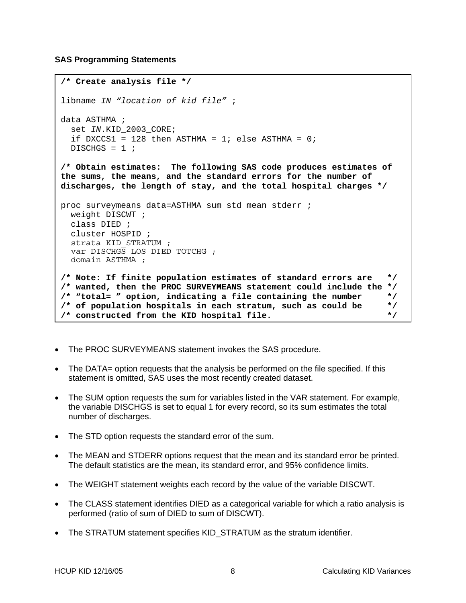### <span id="page-10-0"></span>**SAS Programming Statements**

```
/* Create analysis file */ 
libname IN "location of kid file" ; 
data ASTHMA ; 
  set IN.KID_2003_CORE; 
  if DXCCS1 = 128 then ASTHMA = 1; else ASTHMA = 0;
 DISCHGS = 1 ;
/* Obtain estimates: The following SAS code produces estimates of 
the sums, the means, and the standard errors for the number of 
discharges, the length of stay, and the total hospital charges */ 
proc surveymeans data=ASTHMA sum std mean stderr ; 
  weight DISCWT ; 
  class DIED ; 
  cluster HOSPID ; 
  strata KID_STRATUM ; 
  var DISCHGS LOS DIED TOTCHG ; 
  domain ASTHMA ;
/* Note: If finite population estimates of standard errors are */ 
/* wanted, then the PROC SURVEYMEANS statement could include the */ 
/* "total= " option, indicating a file containing the number */ 
/* of population hospitals in each stratum, such as could be */ 
/* constructed from the KID hospital file. */
```
- The PROC SURVEYMEANS statement invokes the SAS procedure.
- The DATA= option requests that the analysis be performed on the file specified. If this statement is omitted, SAS uses the most recently created dataset.
- The SUM option requests the sum for variables listed in the VAR statement. For example, the variable DISCHGS is set to equal 1 for every record, so its sum estimates the total number of discharges.
- The STD option requests the standard error of the sum.
- The MEAN and STDERR options request that the mean and its standard error be printed. The default statistics are the mean, its standard error, and 95% confidence limits.
- The WEIGHT statement weights each record by the value of the variable DISCWT.
- The CLASS statement identifies DIED as a categorical variable for which a ratio analysis is performed (ratio of sum of DIED to sum of DISCWT).
- The STRATUM statement specifies KID\_STRATUM as the stratum identifier.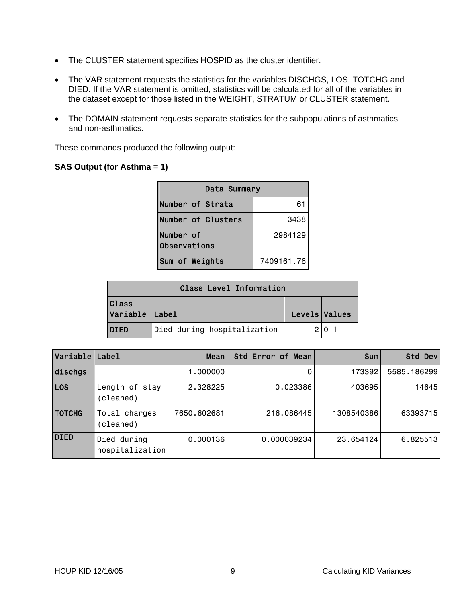- The CLUSTER statement specifies HOSPID as the cluster identifier.
- The VAR statement requests the statistics for the variables DISCHGS, LOS, TOTCHG and DIED. If the VAR statement is omitted, statistics will be calculated for all of the variables in the dataset except for those listed in the WEIGHT, STRATUM or CLUSTER statement.
- The DOMAIN statement requests separate statistics for the subpopulations of asthmatics and non-asthmatics.

These commands produced the following output:

### **SAS Output (for Asthma = 1)**

| Data Summary              |            |  |
|---------------------------|------------|--|
| Number of Strata          | 61         |  |
| Number of Clusters        | 3438       |  |
| Number of<br>Observations | 2984129    |  |
| Sum of Weights            | 7409161.76 |  |

| <b>Class Level Information</b> |                             |               |  |
|--------------------------------|-----------------------------|---------------|--|
| <b>Class</b><br>Variable Label |                             | Levels Values |  |
| <b>DIED</b>                    | Died during hospitalization |               |  |

| Variable      | Label                          | Mean        | Std Error of Mean | <b>Sum</b> | Std Dev      |
|---------------|--------------------------------|-------------|-------------------|------------|--------------|
| dischgs       |                                | 1,000000    |                   | 173392     | 5585, 186299 |
| <b>LOS</b>    | Length of stay<br>(cleaned)    | 2.328225    | 0.023386          | 403695     | 14645        |
| <b>TOTCHG</b> | Total charges<br>(cleaned)     | 7650.602681 | 216,086445        | 1308540386 | 63393715     |
| <b>DIED</b>   | Died during<br>hospitalization | 0.000136    | 0.000039234       | 23.654124  | 6.825513     |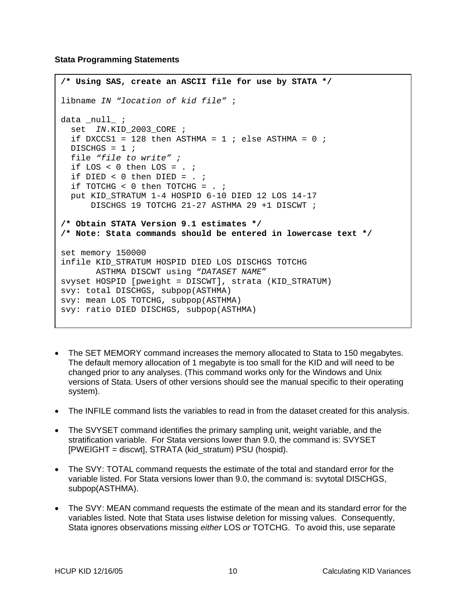<span id="page-12-0"></span>**Stata Programming Statements** 

```
/* Using SAS, create an ASCII file for use by STATA */ 
libname IN "location of kid file" ; 
data _null_ ; 
  set IN.KID_2003_CORE ; 
  if DXCCS1 = 128 then ASTHMA = 1 ; else ASTHMA = 0 ;
 DISCHGS = 1 ;
  file "file to write" ; 
 if LOS < 0 then LOS = . ;
  if DIED < 0 then DIED = : ;
 if TOTCHG \lt 0 then TOTCHG = . ;
   put KID_STRATUM 1-4 HOSPID 6-10 DIED 12 LOS 14-17 
       DISCHGS 19 TOTCHG 21-27 ASTHMA 29 +1 DISCWT ; 
/* Obtain STATA Version 9.1 estimates */ 
/* Note: Stata commands should be entered in lowercase text */ 
set memory 150000 
infile KID_STRATUM HOSPID DIED LOS DISCHGS TOTCHG 
       ASTHMA DISCWT using "DATASET NAME" 
svyset HOSPID [pweight = DISCWT], strata (KID_STRATUM) 
svy: total DISCHGS, subpop(ASTHMA) 
svy: mean LOS TOTCHG, subpop(ASTHMA) 
svy: ratio DIED DISCHGS, subpop(ASTHMA)
```
- The SET MEMORY command increases the memory allocated to Stata to 150 megabytes. The default memory allocation of 1 megabyte is too small for the KID and will need to be changed prior to any analyses. (This command works only for the Windows and Unix versions of Stata. Users of other versions should see the manual specific to their operating system).
- The INFILE command lists the variables to read in from the dataset created for this analysis.
- The SVYSET command identifies the primary sampling unit, weight variable, and the stratification variable. For Stata versions lower than 9.0, the command is: SVYSET [PWEIGHT = discwt], STRATA (kid\_stratum) PSU (hospid).
- The SVY: TOTAL command requests the estimate of the total and standard error for the variable listed. For Stata versions lower than 9.0, the command is: svytotal DISCHGS, subpop(ASTHMA).
- The SVY: MEAN command requests the estimate of the mean and its standard error for the variables listed. Note that Stata uses listwise deletion for missing values. Consequently, Stata ignores observations missing *either* LOS *or* TOTCHG. To avoid this, use separate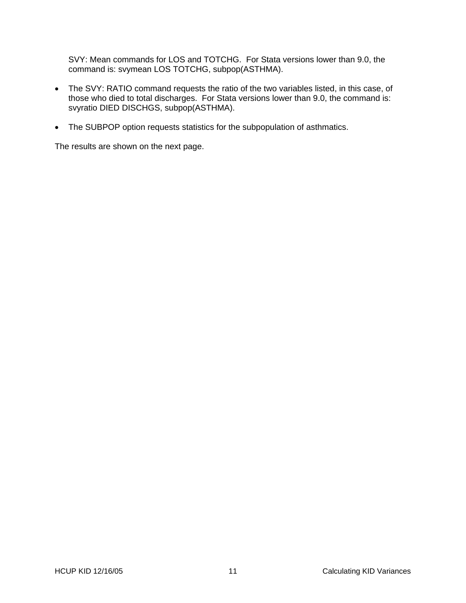SVY: Mean commands for LOS and TOTCHG. For Stata versions lower than 9.0, the command is: svymean LOS TOTCHG, subpop(ASTHMA).

- The SVY: RATIO command requests the ratio of the two variables listed, in this case, of those who died to total discharges. For Stata versions lower than 9.0, the command is: svyratio DIED DISCHGS, subpop(ASTHMA).
- The SUBPOP option requests statistics for the subpopulation of asthmatics.

The results are shown on the next page.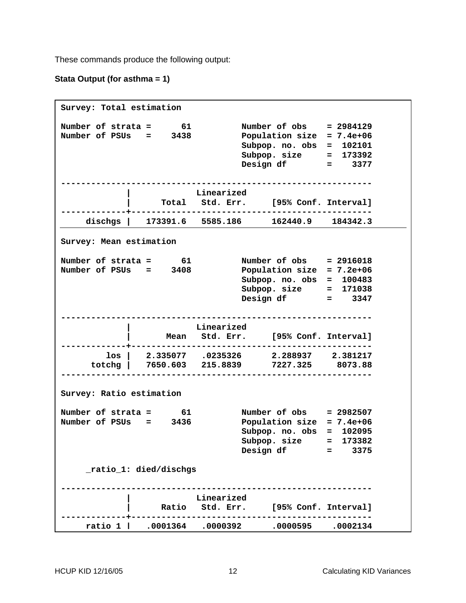These commands produce the following output:

### **Stata Output (for asthma = 1)**

```
Survey: Total estimation 
Number of strata = 61 Number of obs = 2984129 
Number of PSUs = 3438
                               Subpop. no. obs = 102101 
 Subpop. size = 173392 
 Design df = 3377 
              -------------------------------------------------------------- 
                       | Linearized 
           | Total Std. Err. [95% Conf. Interval] 
-------------+------------------------------------------------ 
    dischgs | 173391.6 5585.186 162440.9 184342.3 
Survey: Mean estimation 
Number of strata = 61 Number of obs = 2916018 
Number of PSUs = 3408 Population size = 7.2e+06 
                               Subpop. no. obs = 100483 
 Subpop. size = 171038 
 Design df = 3347 
         -------------------------------------------------------------- 
            | Linearized 
                 | Mean Std. Err. [95% Conf. Interval] 
   -------------+------------------------------------------------ 
      los | 2.335077 .0235326 2.288937 2.381217 
     totchg | 7650.603 215.8839 7227.325 8073.88 
-------------------------------------------------------------- 
Survey: Ratio estimation 
                          Number of obs = 2982507<br>Population size = 7 40106
Number of strata = 61<br>Number of PSUs = 3436 Population size = 7.4e+06
                               Subpop. no. obs = 102095 
 Subpop. size = 173382 
 Design df = 3375 
     _ratio_1: died/dischgs 
                   -------------------------------------------------------------- 
                       | Linearized 
           | Ratio Std. Err. [95% Conf. Interval] 
              -------------+------------------------------------------------ 
 ratio 1 | .0001364 .0000392 .0000595 .0002134
```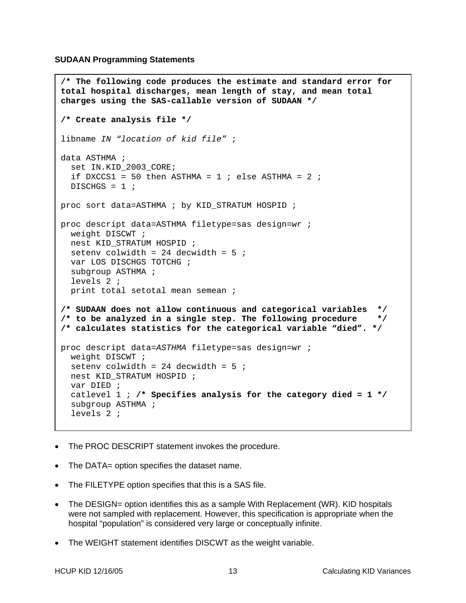<span id="page-15-0"></span>**SUDAAN Programming Statements** 

```
/* The following code produces the estimate and standard error for 
total hospital discharges, mean length of stay, and mean total 
charges using the SAS-callable version of SUDAAN */ 
/* Create analysis file */ 
libname IN "location of kid file" ; 
data ASTHMA ; 
   set IN.KID_2003_CORE; 
  if DXCCS1 = 50 then ASTHMA = 1 ; else ASTHMA = 2 ;
  DISCHGS = 1 ;
proc sort data=ASTHMA ; by KID_STRATUM HOSPID ; 
proc descript data=ASTHMA filetype=sas design=wr ; 
   weight DISCWT ; 
   nest KID_STRATUM HOSPID ; 
  seteny colwidth = 24 decwidth = 5;
   var LOS DISCHGS TOTCHG ; 
   subgroup ASTHMA ; 
   levels 2 ; 
   print total setotal mean semean ; 
/* SUDAAN does not allow continuous and categorical variables */ 
/* to be analyzed in a single step. The following procedure */ 
/* calculates statistics for the categorical variable "died". */ 
proc descript data=ASTHMA filetype=sas design=wr ; 
   weight DISCWT ; 
  setenv colwidth = 24 decwidth = 5;
 nest KID STRATUM HOSPID ;
   var DIED ; 
   catlevel 1 ; /* Specifies analysis for the category died = 1 */ 
   subgroup ASTHMA ; 
   levels 2 ;
```
- The PROC DESCRIPT statement invokes the procedure.
- The DATA= option specifies the dataset name.
- The FILETYPE option specifies that this is a SAS file.
- The DESIGN= option identifies this as a sample With Replacement (WR). KID hospitals were not sampled with replacement. However, this specification is appropriate when the hospital "population" is considered very large or conceptually infinite.
- The WEIGHT statement identifies DISCWT as the weight variable.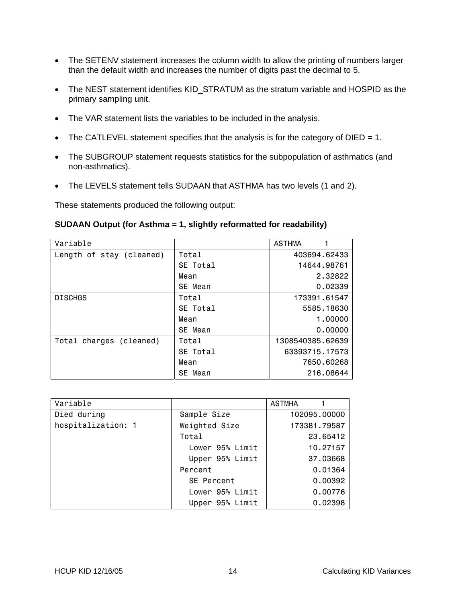- The SETENV statement increases the column width to allow the printing of numbers larger than the default width and increases the number of digits past the decimal to 5.
- The NEST statement identifies KID\_STRATUM as the stratum variable and HOSPID as the primary sampling unit.
- The VAR statement lists the variables to be included in the analysis.
- The CATLEVEL statement specifies that the analysis is for the category of DIED = 1.
- The SUBGROUP statement requests statistics for the subpopulation of asthmatics (and non-asthmatics).
- The LEVELS statement tells SUDAAN that ASTHMA has two levels (1 and 2).

These statements produced the following output:

### **SUDAAN Output (for Asthma = 1, slightly reformatted for readability)**

| Variable                 |          | <b>ASTHMA</b>    |
|--------------------------|----------|------------------|
| Length of stay (cleaned) | Total    | 403694.62433     |
|                          | SE Total | 14644.98761      |
|                          | Mean     | 2.32822          |
|                          | SE Mean  | 0.02339          |
| <b>DISCHGS</b>           | Total    | 173391.61547     |
|                          | SE Total | 5585, 18630      |
|                          | Mean     | 1.00000          |
|                          | SE Mean  | 0.00000          |
| Total charges (cleaned)  | Total    | 1308540385.62639 |
|                          | SE Total | 63393715.17573   |
|                          | Mean     | 7650.60268       |
|                          | SE Mean  | 216,08644        |

| Variable           |                 | ASTMHA       |
|--------------------|-----------------|--------------|
| Died during        | Sample Size     | 102095.00000 |
| hospitalization: 1 | Weighted Size   | 173381.79587 |
|                    | Total           | 23.65412     |
|                    | Lower 95% Limit | 10.27157     |
|                    | Upper 95% Limit | 37.03668     |
|                    | Percent         | 0.01364      |
|                    | SE Percent      | 0.00392      |
|                    | Lower 95% Limit | 0.00776      |
|                    | Upper 95% Limit | 0.02398      |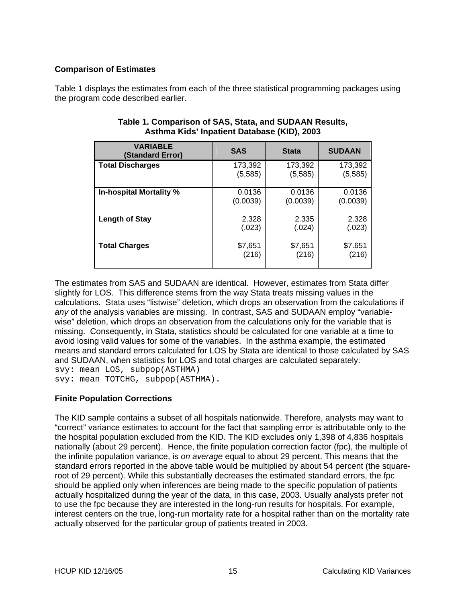## <span id="page-17-0"></span>**Comparison of Estimates**

Table 1 displays the estimates from each of the three statistical programming packages using the program code described earlier.

| <b>VARIABLE</b><br>(Standard Error) | <b>SAS</b> | <b>Stata</b> | <b>SUDAAN</b> |
|-------------------------------------|------------|--------------|---------------|
| <b>Total Discharges</b>             | 173,392    | 173,392      | 173,392       |
|                                     | (5, 585)   | (5, 585)     | (5,585)       |
| In-hospital Mortality %             | 0.0136     | 0.0136       | 0.0136        |
|                                     | (0.0039)   | (0.0039)     | (0.0039)      |
| <b>Length of Stay</b>               | 2.328      | 2.335        | 2.328         |
|                                     | (.023)     | (.024)       | (.023)        |
| <b>Total Charges</b>                | \$7,651    | \$7,651      | \$7.651       |
|                                     | (216)      | (216)        | (216)         |

### **Table 1. Comparison of SAS, Stata, and SUDAAN Results, Asthma Kids' Inpatient Database (KID), 2003**

The estimates from SAS and SUDAAN are identical. However, estimates from Stata differ slightly for LOS. This difference stems from the way Stata treats missing values in the calculations. Stata uses "listwise" deletion, which drops an observation from the calculations if *any* of the analysis variables are missing. In contrast, SAS and SUDAAN employ "variablewise" deletion, which drops an observation from the calculations only for the variable that is missing. Consequently, in Stata, statistics should be calculated for one variable at a time to avoid losing valid values for some of the variables. In the asthma example, the estimated means and standard errors calculated for LOS by Stata are identical to those calculated by SAS and SUDAAN, when statistics for LOS and total charges are calculated separately: svy: mean LOS, subpop(ASTHMA) svy: mean TOTCHG, subpop(ASTHMA).

## **Finite Population Corrections**

The KID sample contains a subset of all hospitals nationwide. Therefore, analysts may want to "correct" variance estimates to account for the fact that sampling error is attributable only to the the hospital population excluded from the KID. The KID excludes only 1,398 of 4,836 hospitals nationally (about 29 percent). Hence, the finite population correction factor (fpc), the multiple of the infinite population variance, is *on average* equal to about 29 percent. This means that the standard errors reported in the above table would be multiplied by about 54 percent (the squareroot of 29 percent). While this substantially decreases the estimated standard errors, the fpc should be applied only when inferences are being made to the specific population of patients actually hospitalized during the year of the data, in this case, 2003. Usually analysts prefer not to use the fpc because they are interested in the long-run results for hospitals. For example, interest centers on the true, long-run mortality rate for a hospital rather than on the mortality rate actually observed for the particular group of patients treated in 2003.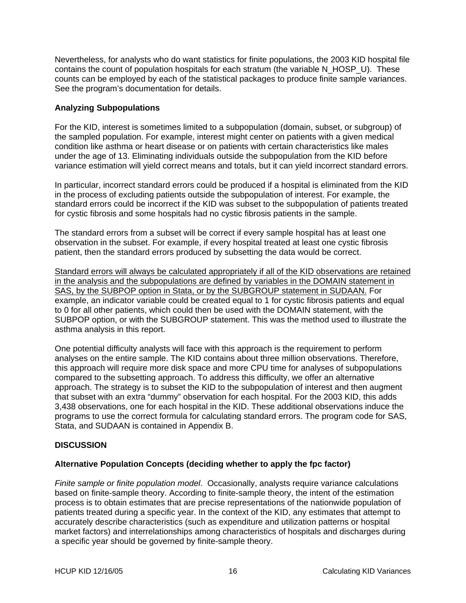<span id="page-18-0"></span>Nevertheless, for analysts who do want statistics for finite populations, the 2003 KID hospital file contains the count of population hospitals for each stratum (the variable N\_HOSP\_U). These counts can be employed by each of the statistical packages to produce finite sample variances. See the program's documentation for details.

## **Analyzing Subpopulations**

For the KID, interest is sometimes limited to a subpopulation (domain, subset, or subgroup) of the sampled population. For example, interest might center on patients with a given medical condition like asthma or heart disease or on patients with certain characteristics like males under the age of 13. Eliminating individuals outside the subpopulation from the KID before variance estimation will yield correct means and totals, but it can yield incorrect standard errors.

In particular, incorrect standard errors could be produced if a hospital is eliminated from the KID in the process of excluding patients outside the subpopulation of interest. For example, the standard errors could be incorrect if the KID was subset to the subpopulation of patients treated for cystic fibrosis and some hospitals had no cystic fibrosis patients in the sample.

The standard errors from a subset will be correct if every sample hospital has at least one observation in the subset. For example, if every hospital treated at least one cystic fibrosis patient, then the standard errors produced by subsetting the data would be correct.

Standard errors will always be calculated appropriately if all of the KID observations are retained in the analysis and the subpopulations are defined by variables in the DOMAIN statement in SAS, by the SUBPOP option in Stata, or by the SUBGROUP statement in SUDAAN. For example, an indicator variable could be created equal to 1 for cystic fibrosis patients and equal to 0 for all other patients, which could then be used with the DOMAIN statement, with the SUBPOP option, or with the SUBGROUP statement. This was the method used to illustrate the asthma analysis in this report.

One potential difficulty analysts will face with this approach is the requirement to perform analyses on the entire sample. The KID contains about three million observations. Therefore, this approach will require more disk space and more CPU time for analyses of subpopulations compared to the subsetting approach. To address this difficulty, we offer an alternative approach. The strategy is to subset the KID to the subpopulation of interest and then augment that subset with an extra "dummy" observation for each hospital. For the 2003 KID, this adds 3,438 observations, one for each hospital in the KID. These additional observations induce the programs to use the correct formula for calculating standard errors. The program code for SAS, Stata, and SUDAAN is contained in Appendix B.

## **DISCUSSION**

## **Alternative Population Concepts (deciding whether to apply the fpc factor)**

*Finite sample or finite population model*. Occasionally, analysts require variance calculations based on finite-sample theory. According to finite-sample theory, the intent of the estimation process is to obtain estimates that are precise representations of the nationwide population of patients treated during a specific year. In the context of the KID, any estimates that attempt to accurately describe characteristics (such as expenditure and utilization patterns or hospital market factors) and interrelationships among characteristics of hospitals and discharges during a specific year should be governed by finite-sample theory.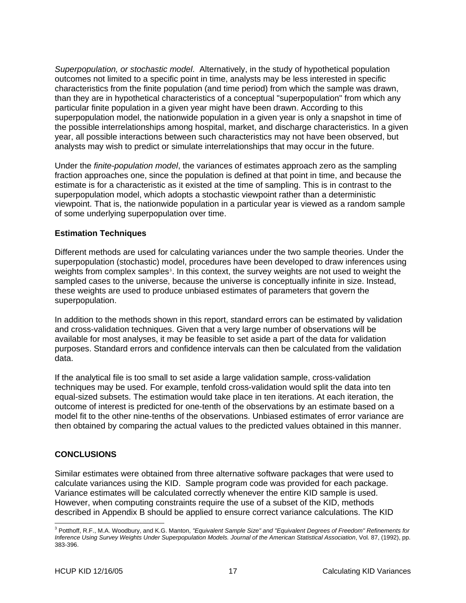<span id="page-19-0"></span>*Superpopulation, or stochastic model*. Alternatively, in the study of hypothetical population outcomes not limited to a specific point in time, analysts may be less interested in specific characteristics from the finite population (and time period) from which the sample was drawn, than they are in hypothetical characteristics of a conceptual "superpopulation" from which any particular finite population in a given year might have been drawn. According to this superpopulation model, the nationwide population in a given year is only a snapshot in time of the possible interrelationships among hospital, market, and discharge characteristics. In a given year, all possible interactions between such characteristics may not have been observed, but analysts may wish to predict or simulate interrelationships that may occur in the future.

Under the *finite-population model*, the variances of estimates approach zero as the sampling fraction approaches one, since the population is defined at that point in time, and because the estimate is for a characteristic as it existed at the time of sampling. This is in contrast to the superpopulation model, which adopts a stochastic viewpoint rather than a deterministic viewpoint. That is, the nationwide population in a particular year is viewed as a random sample of some underlying superpopulation over time.

### **Estimation Techniques**

Different methods are used for calculating variances under the two sample theories. Under the superpopulation (stochastic) model, procedures have been developed to draw inferences using weights from complex samples<sup>[3](#page-19-1)</sup>. In this context, the survey weights are not used to weight the sampled cases to the universe, because the universe is conceptually infinite in size. Instead, these weights are used to produce unbiased estimates of parameters that govern the superpopulation.

In addition to the methods shown in this report, standard errors can be estimated by validation and cross-validation techniques. Given that a very large number of observations will be available for most analyses, it may be feasible to set aside a part of the data for validation purposes. Standard errors and confidence intervals can then be calculated from the validation data.

If the analytical file is too small to set aside a large validation sample, cross-validation techniques may be used. For example, tenfold cross-validation would split the data into ten equal-sized subsets. The estimation would take place in ten iterations. At each iteration, the outcome of interest is predicted for one-tenth of the observations by an estimate based on a model fit to the other nine-tenths of the observations. Unbiased estimates of error variance are then obtained by comparing the actual values to the predicted values obtained in this manner.

## **CONCLUSIONS**

Similar estimates were obtained from three alternative software packages that were used to calculate variances using the KID. Sample program code was provided for each package. Variance estimates will be calculated correctly whenever the entire KID sample is used. However, when computing constraints require the use of a subset of the KID, methods described in Appendix B should be applied to ensure correct variance calculations. The KID

<span id="page-19-1"></span><sup>-</sup><sup>3</sup> Potthoff, R.F., M.A. Woodbury, and K.G. Manton, *"Equivalent Sample Size" and "Equivalent Degrees of Freedom" Refinements for Inference Using Survey Weights Under Superpopulation Models. Journal of the American Statistical Association*, Vol. 87, (1992), pp. 383-396.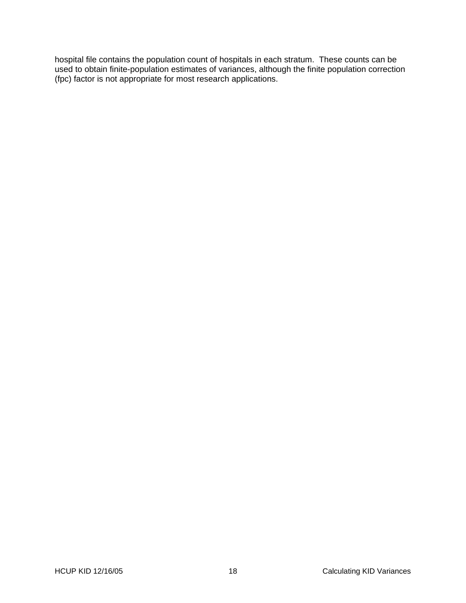hospital file contains the population count of hospitals in each stratum. These counts can be used to obtain finite-population estimates of variances, although the finite population correction (fpc) factor is not appropriate for most research applications.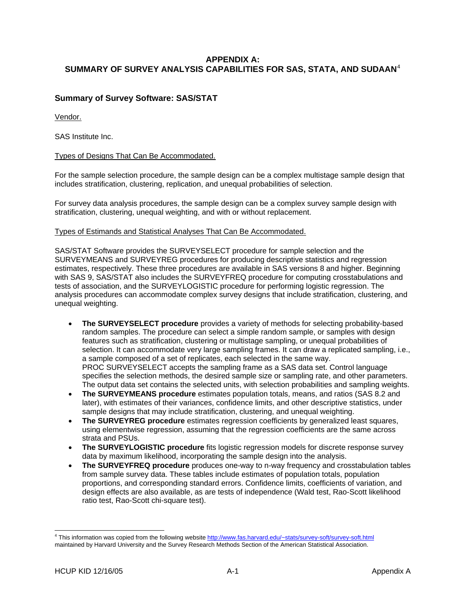## <span id="page-21-0"></span>**APPENDIX A: SUMMARY OF SURVEY ANALYSIS CAPABILITIES FOR SAS, STATA, AND SUDAAN**[4](#page-21-1)

### **Summary of Survey Software: SAS/STAT**

Vendor.

SAS Institute Inc.

#### Types of Designs That Can Be Accommodated.

For the sample selection procedure, the sample design can be a complex multistage sample design that includes stratification, clustering, replication, and unequal probabilities of selection.

For survey data analysis procedures, the sample design can be a complex survey sample design with stratification, clustering, unequal weighting, and with or without replacement.

#### Types of Estimands and Statistical Analyses That Can Be Accommodated.

SAS/STAT Software provides the SURVEYSELECT procedure for sample selection and the SURVEYMEANS and SURVEYREG procedures for producing descriptive statistics and regression estimates, respectively. These three procedures are available in SAS versions 8 and higher. Beginning with SAS 9, SAS/STAT also includes the SURVEYFREQ procedure for computing crosstabulations and tests of association, and the SURVEYLOGISTIC procedure for performing logistic regression. The analysis procedures can accommodate complex survey designs that include stratification, clustering, and unequal weighting.

- **The SURVEYSELECT procedure** provides a variety of methods for selecting probability-based random samples. The procedure can select a simple random sample, or samples with design features such as stratification, clustering or multistage sampling, or unequal probabilities of selection. It can accommodate very large sampling frames. It can draw a replicated sampling, i.e., a sample composed of a set of replicates, each selected in the same way. PROC SURVEYSELECT accepts the sampling frame as a SAS data set. Control language specifies the selection methods, the desired sample size or sampling rate, and other parameters. The output data set contains the selected units, with selection probabilities and sampling weights.
- **The SURVEYMEANS procedure** estimates population totals, means, and ratios (SAS 8.2 and later), with estimates of their variances, confidence limits, and other descriptive statistics, under sample designs that may include stratification, clustering, and unequal weighting.
- **The SURVEYREG procedure** estimates regression coefficients by generalized least squares, using elementwise regression, assuming that the regression coefficients are the same across strata and PSUs.
- **The SURVEYLOGISTIC procedure** fits logistic regression models for discrete response survey data by maximum likelihood, incorporating the sample design into the analysis.
- **The SURVEYFREQ procedure** produces one-way to n-way frequency and crosstabulation tables from sample survey data. These tables include estimates of population totals, population proportions, and corresponding standard errors. Confidence limits, coefficients of variation, and design effects are also available, as are tests of independence (Wald test, Rao-Scott likelihood ratio test, Rao-Scott chi-square test).

<span id="page-21-1"></span> 4 This information was copied from the following website [http://www.fas.harvard.edu/~stats/survey-soft/survey-soft.html](http://www.fas.harvard.edu/%7Estats/survey-soft/survey-soft.html) maintained by Harvard University and the Survey Research Methods Section of the American Statistical Association.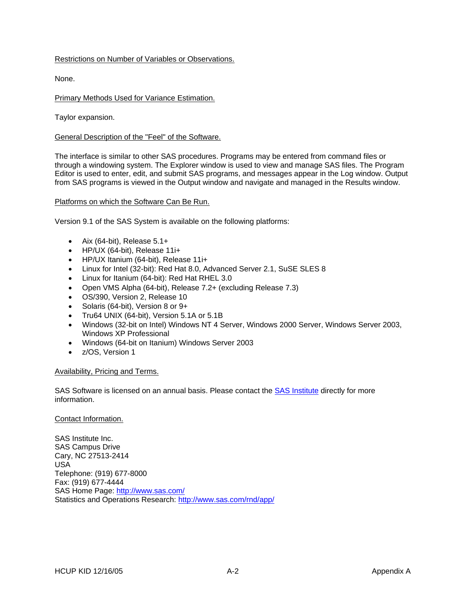### <span id="page-22-0"></span>Restrictions on Number of Variables or Observations.

None.

### Primary Methods Used for Variance Estimation.

Taylor expansion.

### General Description of the "Feel" of the Software.

The interface is similar to other SAS procedures. Programs may be entered from command files or through a windowing system. The Explorer window is used to view and manage SAS files. The Program Editor is used to enter, edit, and submit SAS programs, and messages appear in the Log window. Output from SAS programs is viewed in the Output window and navigate and managed in the Results window.

#### Platforms on which the Software Can Be Run.

Version 9.1 of the SAS System is available on the following platforms:

- Aix (64-bit), Release  $5.1+$
- HP/UX (64-bit), Release 11i+
- HP/UX Itanium (64-bit), Release 11i+
- Linux for Intel (32-bit): Red Hat 8.0, Advanced Server 2.1, SuSE SLES 8
- Linux for Itanium (64-bit): Red Hat RHEL 3.0
- Open VMS Alpha (64-bit), Release 7.2+ (excluding Release 7.3)
- OS/390, Version 2, Release 10
- Solaris (64-bit), Version 8 or 9+
- Tru64 UNIX (64-bit), Version 5.1A or 5.1B
- Windows (32-bit on Intel) Windows NT 4 Server, Windows 2000 Server, Windows Server 2003, Windows XP Professional
- Windows (64-bit on Itanium) Windows Server 2003
- z/OS, Version 1

#### Availability, Pricing and Terms.

SAS Software is licensed on an annual basis. Please contact the [SAS Institute](http://www.sas.com/) directly for more information.

#### Contact Information.

SAS Institute Inc. SAS Campus Drive Cary, NC 27513-2414 USA Telephone: (919) 677-8000 Fax: (919) 677-4444 SAS Home Page:<http://www.sas.com/> Statistics and Operations Research:<http://www.sas.com/rnd/app/>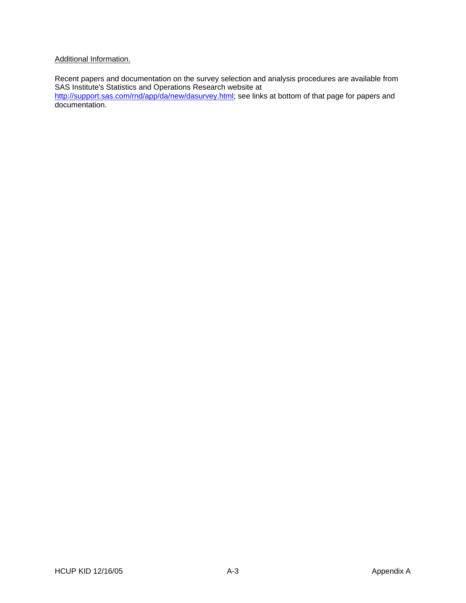### <span id="page-23-0"></span>Additional Information.

Recent papers and documentation on the survey selection and analysis procedures are available from SAS Institute's Statistics and Operations Research website at

<http://support.sas.com/rnd/app/da/new/dasurvey.html>; see links at bottom of that page for papers and documentation.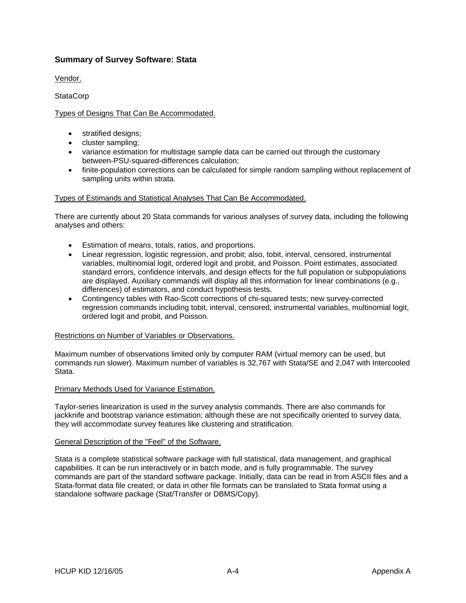### <span id="page-24-0"></span>**Summary of Survey Software: Stata**

Vendor.

**StataCorp** 

### Types of Designs That Can Be Accommodated.

- stratified designs;
- cluster sampling;
- variance estimation for multistage sample data can be carried out through the customary between-PSU-squared-differences calculation;
- finite-population corrections can be calculated for simple random sampling without replacement of sampling units within strata.

#### Types of Estimands and Statistical Analyses That Can Be Accommodated.

There are currently about 20 Stata commands for various analyses of survey data, including the following analyses and others:

- Estimation of means, totals, ratios, and proportions.
- Linear regression, logistic regression, and probit; also, tobit, interval, censored, instrumental variables, multinomial logit, ordered logit and probit, and Poisson. Point estimates, associated standard errors, confidence intervals, and design effects for the full population or subpopulations are displayed. Auxiliary commands will display all this information for linear combinations (e.g., differences) of estimators, and conduct hypothesis tests.
- Contingency tables with Rao-Scott corrections of chi-squared tests; new survey-corrected regression commands including tobit, interval, censored, instrumental variables, multinomial logit, ordered logit and probit, and Poisson.

#### Restrictions on Number of Variables or Observations.

Maximum number of observations limited only by computer RAM (virtual memory can be used, but commands run slower). Maximum number of variables is 32,767 with Stata/SE and 2,047 with Intercooled Stata.

#### Primary Methods Used for Variance Estimation.

Taylor-series linearization is used in the survey analysis commands. There are also commands for jackknife and bootstrap variance estimation; although these are not specifically oriented to survey data, they will accommodate survey features like clustering and stratification.

#### General Description of the "Feel" of the Software.

Stata is a complete statistical software package with full statistical, data management, and graphical capabilities. It can be run interactively or in batch mode, and is fully programmable. The survey commands are part of the standard software package. Initially, data can be read in from ASCII files and a Stata-format data file created; or data in other file formats can be translated to Stata format using a standalone software package (Stat/Transfer or DBMS/Copy).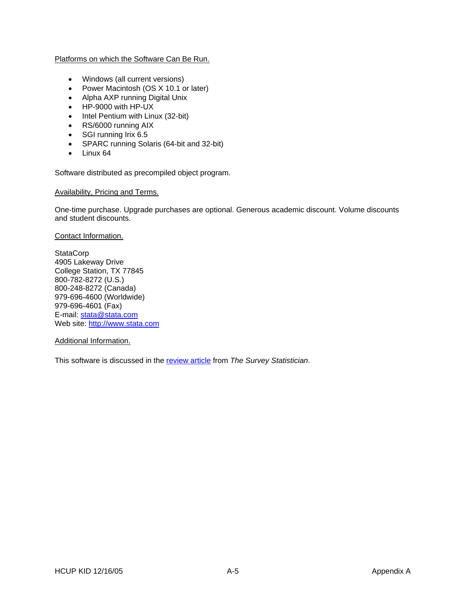<span id="page-25-0"></span>Platforms on which the Software Can Be Run.

- Windows (all current versions)
- Power Macintosh (OS X 10.1 or later)
- Alpha AXP running Digital Unix
- HP-9000 with HP-UX
- Intel Pentium with Linux (32-bit)
- RS/6000 running AIX
- SGI running Irix 6.5
- SPARC running Solaris (64-bit and 32-bit)
- Linux 64

Software distributed as precompiled object program.

#### Availability, Pricing and Terms.

One-time purchase. Upgrade purchases are optional. Generous academic discount. Volume discounts and student discounts.

Contact Information.

**StataCorp** 4905 Lakeway Drive College Station, TX 77845 800-782-8272 (U.S.) 800-248-8272 (Canada) 979-696-4600 (Worldwide) 979-696-4601 (Fax) E-mail: [stata@stata.com](mailto:stata@stata.com) Web site: [http://www.stata.com](http://www.stata.com/)

Additional Information.

This software is discussed in the [review article](http://www.hcp.med.harvard.edu/statistics/survey-soft/docs/iass.html#Stata) from *The Survey Statistician*.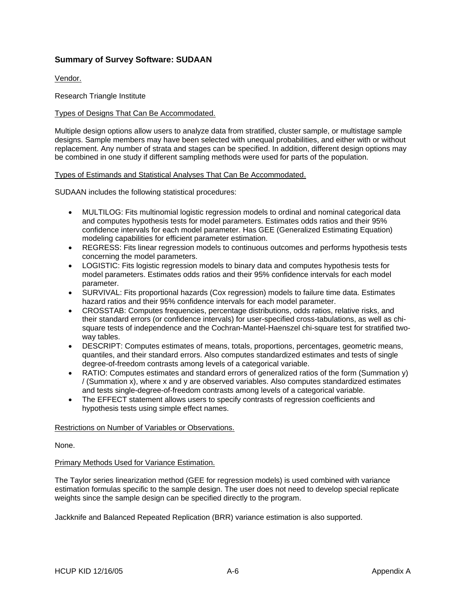## <span id="page-26-0"></span>**Summary of Survey Software: SUDAAN**

Vendor.

Research Triangle Institute

#### Types of Designs That Can Be Accommodated.

Multiple design options allow users to analyze data from stratified, cluster sample, or multistage sample designs. Sample members may have been selected with unequal probabilities, and either with or without replacement. Any number of strata and stages can be specified. In addition, different design options may be combined in one study if different sampling methods were used for parts of the population.

#### Types of Estimands and Statistical Analyses That Can Be Accommodated.

SUDAAN includes the following statistical procedures:

- MULTILOG: Fits multinomial logistic regression models to ordinal and nominal categorical data and computes hypothesis tests for model parameters. Estimates odds ratios and their 95% confidence intervals for each model parameter. Has GEE (Generalized Estimating Equation) modeling capabilities for efficient parameter estimation.
- REGRESS: Fits linear regression models to continuous outcomes and performs hypothesis tests concerning the model parameters.
- LOGISTIC: Fits logistic regression models to binary data and computes hypothesis tests for model parameters. Estimates odds ratios and their 95% confidence intervals for each model parameter.
- SURVIVAL: Fits proportional hazards (Cox regression) models to failure time data. Estimates hazard ratios and their 95% confidence intervals for each model parameter.
- CROSSTAB: Computes frequencies, percentage distributions, odds ratios, relative risks, and their standard errors (or confidence intervals) for user-specified cross-tabulations, as well as chisquare tests of independence and the Cochran-Mantel-Haenszel chi-square test for stratified twoway tables.
- DESCRIPT: Computes estimates of means, totals, proportions, percentages, geometric means, quantiles, and their standard errors. Also computes standardized estimates and tests of single degree-of-freedom contrasts among levels of a categorical variable.
- RATIO: Computes estimates and standard errors of generalized ratios of the form (Summation y) / (Summation x), where x and y are observed variables. Also computes standardized estimates and tests single-degree-of-freedom contrasts among levels of a categorical variable.
- The EFFECT statement allows users to specify contrasts of regression coefficients and hypothesis tests using simple effect names.

#### Restrictions on Number of Variables or Observations.

None.

#### Primary Methods Used for Variance Estimation.

The Taylor series linearization method (GEE for regression models) is used combined with variance estimation formulas specific to the sample design. The user does not need to develop special replicate weights since the sample design can be specified directly to the program.

Jackknife and Balanced Repeated Replication (BRR) variance estimation is also supported.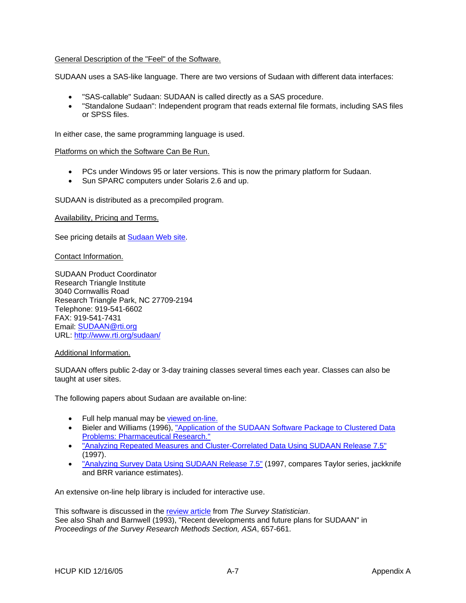### <span id="page-27-0"></span>General Description of the "Feel" of the Software.

SUDAAN uses a SAS-like language. There are two versions of Sudaan with different data interfaces:

- "SAS-callable" Sudaan: SUDAAN is called directly as a SAS procedure.
- "Standalone Sudaan": Independent program that reads external file formats, including SAS files or SPSS files.

In either case, the same programming language is used.

#### Platforms on which the Software Can Be Run.

- PCs under Windows 95 or later versions. This is now the primary platform for Sudaan.
- Sun SPARC computers under Solaris 2.6 and up.

SUDAAN is distributed as a precompiled program.

Availability, Pricing and Terms.

See pricing details at [Sudaan Web site.](http://www.rti.org/sudaan/home2.cfm?file=sudaanPricelist.cfm)

Contact Information.

SUDAAN Product Coordinator Research Triangle Institute 3040 Cornwallis Road Research Triangle Park, NC 27709-2194 Telephone: 919-541-6602 FAX: 919-541-7431 Email: [SUDAAN@rti.org](mailto:SUDAAN@rti.org) URL: <http://www.rti.org/sudaan/>

#### Additional Information.

SUDAAN offers public 2-day or 3-day training classes several times each year. Classes can also be taught at user sites.

The following papers about Sudaan are available on-line:

- Full help manual may be [viewed on-line.](http://www.rti.org/sudaan/sudaanTechHome.cfm)
- Bieler and Williams (1996), ["Application of the SUDAAN Software Package to Clustered Data](http://www.rti.org/sudaan/pdf_files/sud_fda4.pdf)  [Problems: Pharmaceutical Research."](http://www.rti.org/sudaan/pdf_files/sud_fda4.pdf)
- ["Analyzing Repeated Measures and Cluster-Correlated Data Using SUDAAN Release 7.5"](http://www.rti.org/sudaan/pdf_files/GEE75.pdf) (1997).
- ["Analyzing Survey Data Using SUDAAN Release 7.5"](http://www.rti.org/sudaan/pdf_files/survey75.pdf) (1997, compares Taylor series, jackknife and BRR variance estimates).

An extensive on-line help library is included for interactive use.

This software is discussed in the [review article](http://www.hcp.med.harvard.edu/statistics/survey-soft/docs/iass.html#SUDAAN) from *The Survey Statistician*. See also Shah and Barnwell (1993), "Recent developments and future plans for SUDAAN" in *Proceedings of the Survey Research Methods Section, ASA*, 657-661.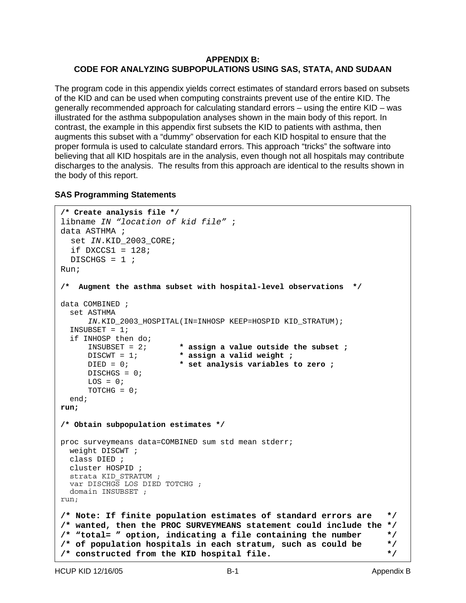## <span id="page-28-0"></span>**APPENDIX B: CODE FOR ANALYZING SUBPOPULATIONS USING SAS, STATA, AND SUDAAN**

The program code in this appendix yields correct estimates of standard errors based on subsets of the KID and can be used when computing constraints prevent use of the entire KID. The generally recommended approach for calculating standard errors – using the entire KID – was illustrated for the asthma subpopulation analyses shown in the main body of this report. In contrast, the example in this appendix first subsets the KID to patients with asthma, then augments this subset with a "dummy" observation for each KID hospital to ensure that the proper formula is used to calculate standard errors. This approach "tricks" the software into believing that all KID hospitals are in the analysis, even though not all hospitals may contribute discharges to the analysis. The results from this approach are identical to the results shown in the body of this report.

## **SAS Programming Statements**

```
/* Create analysis file */ 
libname IN "location of kid file" ; 
data ASTHMA ; 
   set IN.KID_2003_CORE; 
  if DXCCS1 = 128;
  DISCHGS = 1 ;
Run; 
/* Augment the asthma subset with hospital-level observations */ 
data COMBINED ; 
  set ASTHMA
     IN.KID_2003_HOSPITAL(IN=INHOSP KEEP=HOSPID KID_STRATUM); 
  INSUBSET = 1; 
  if INHOSP then do;<br>INSUBSET = 2;
                         * assign a value outside the subset ;
      DISCWT = 1; * assign a valid weight ;
      DIED = 0; * set analysis variables to zero ;
      DISCHGS = 0; 
     LOS = 0;TOTCHG = 0; end; 
run; 
/* Obtain subpopulation estimates */ 
proc surveymeans data=COMBINED sum std mean stderr; 
  weight DISCWT ; 
  class DIED ; 
  cluster HOSPID ; 
  strata KID_STRATUM ; 
  var DISCHGS LOS DIED TOTCHG ; 
  domain INSUBSET ; 
run;
/* Note: If finite population estimates of standard errors are */ 
/* wanted, then the PROC SURVEYMEANS statement could include the */ 
/* "total= " option, indicating a file containing the number */ 
/* of population hospitals in each stratum, such as could be */ 
/* constructed from the KID hospital file. */
```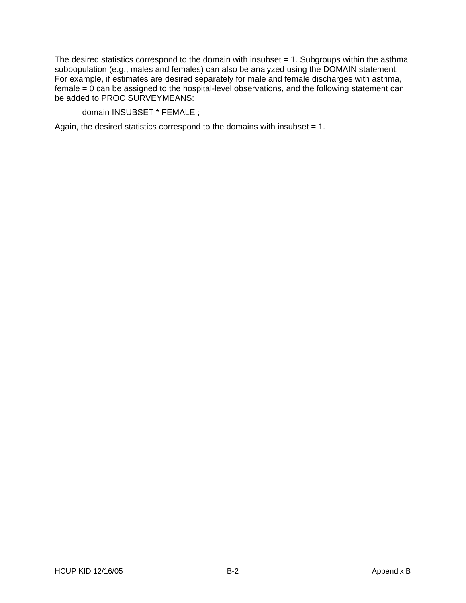The desired statistics correspond to the domain with insubset  $= 1$ . Subgroups within the asthma subpopulation (e.g., males and females) can also be analyzed using the DOMAIN statement. For example, if estimates are desired separately for male and female discharges with asthma, female  $= 0$  can be assigned to the hospital-level observations, and the following statement can be added to PROC SURVEYMEANS:

domain INSUBSET \* FEMALE ;

Again, the desired statistics correspond to the domains with insubset = 1.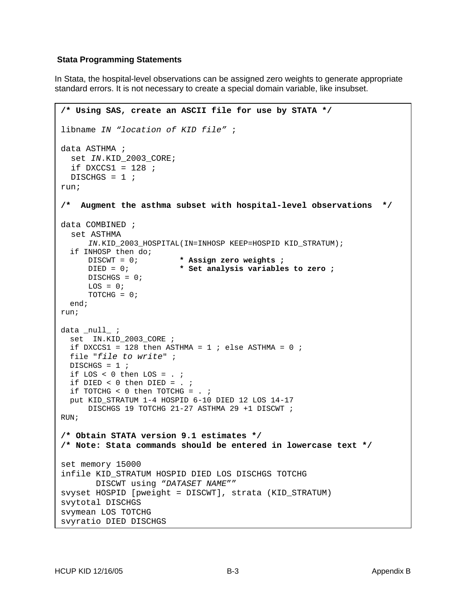### <span id="page-30-0"></span> **Stata Programming Statements**

In Stata, the hospital-level observations can be assigned zero weights to generate appropriate standard errors. It is not necessary to create a special domain variable, like insubset.

```
/* Using SAS, create an ASCII file for use by STATA */ 
libname IN "location of KID file" ; 
data ASTHMA ; 
   set IN.KID_2003_CORE; 
  if DXCCS1 = 128 ;
  DISCHGS = 1 ;
run; 
/* Augment the asthma subset with hospital-level observations */ 
data COMBINED ; 
   set ASTHMA
     IN.KID_2003_HOSPITAL(IN=INHOSP KEEP=HOSPID KID_STRATUM); 
   if INHOSP then do; 
      DISCWT = 0; * Assign zero weights ;
      DIED = 0; * Set analysis variables to zero ;
      DISCHGS = 0; 
     LOS = 0;TOTCHG = 0; end; 
run;
data _null_ ;
  set IN.KID_2003_CORE ; 
 if DXCCS1 = 128 then ASTHMA = 1 ; else ASTHMA = 0 ;
  file "file to write" ; 
 DISCHGS = 1 ;
  if LOS < 0 then LOS = . ; 
 if DIED <0 then DIED = . ;
  if TOTCHG < 0 then TOTCHG = . ; 
  put KID_STRATUM 1-4 HOSPID 6-10 DIED 12 LOS 14-17 
      DISCHGS 19 TOTCHG 21-27 ASTHMA 29 +1 DISCWT ; 
RUN; 
/* Obtain STATA version 9.1 estimates */ 
/* Note: Stata commands should be entered in lowercase text */ 
set memory 15000 
infile KID_STRATUM HOSPID DIED LOS DISCHGS TOTCHG 
        DISCWT using "DATASET NAME"" 
svyset HOSPID [pweight = DISCWT], strata (KID_STRATUM) 
svytotal DISCHGS 
svymean LOS TOTCHG 
svyratio DIED DISCHGS
```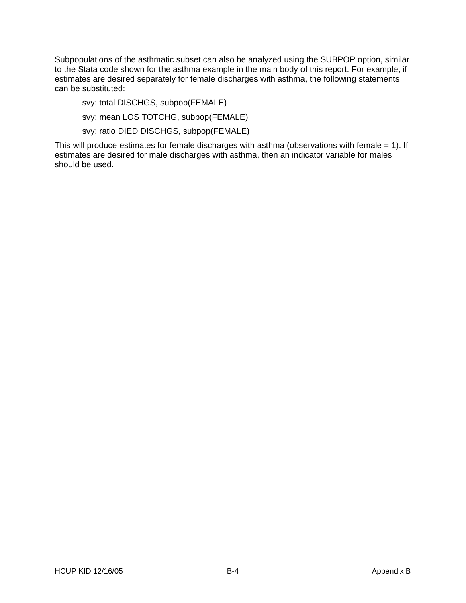Subpopulations of the asthmatic subset can also be analyzed using the SUBPOP option, similar to the Stata code shown for the asthma example in the main body of this report. For example, if estimates are desired separately for female discharges with asthma, the following statements can be substituted:

svy: total DISCHGS, subpop(FEMALE)

svy: mean LOS TOTCHG, subpop(FEMALE)

svy: ratio DIED DISCHGS, subpop(FEMALE)

This will produce estimates for female discharges with asthma (observations with female = 1). If estimates are desired for male discharges with asthma, then an indicator variable for males should be used.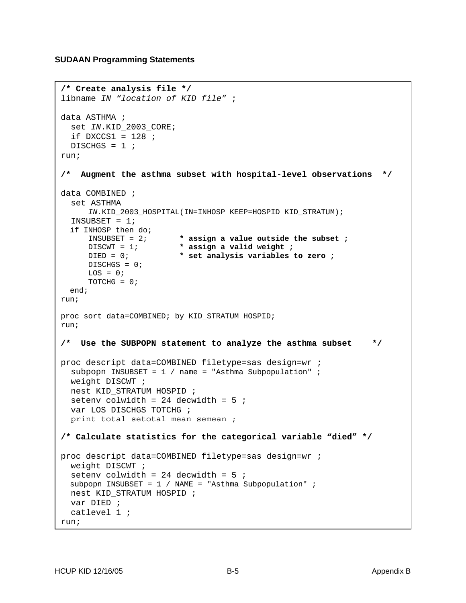### <span id="page-32-0"></span>**SUDAAN Programming Statements**

```
/* Create analysis file */ 
libname IN "location of KID file" ; 
data ASTHMA ; 
   set IN.KID_2003_CORE; 
  if DXCCS1 = 128 ;
 DISCHGS = 1 ;
run; 
/* Augment the asthma subset with hospital-level observations */ 
data COMBINED ; 
   set ASTHMA 
     IN.KID_2003_HOSPITAL(IN=INHOSP KEEP=HOSPID KID_STRATUM); 
   INSUBSET = 1; 
  if INHOSP then do:<br>INSUBSET = 2;
                         * assign a value outside the subset ;
      DISCWT = 1; * assign a valid weight ;
      DIED = 0; * set analysis variables to zero ;
      DISCHGS = 0; 
     LOS = 0;TOTCHG = 0; end; 
run; 
proc sort data=COMBINED; by KID_STRATUM HOSPID; 
run; 
/* Use the SUBPOPN statement to analyze the asthma subset */ 
proc descript data=COMBINED filetype=sas design=wr ; 
   subpopn INSUBSET = 1 / name = "Asthma Subpopulation" ; 
   weight DISCWT ; 
 nest KID STRATUM HOSPID ;
 seteny colwidth = 24 decwidth = 5;
   var LOS DISCHGS TOTCHG ; 
   print total setotal mean semean ; 
/* Calculate statistics for the categorical variable "died" */ 
proc descript data=COMBINED filetype=sas design=wr ; 
   weight DISCWT ; 
  setenv colwidth = 24 decwidth = 5;
  subpopn INSUBSET = 1 / NAME = "Asthma Subpopulation" ; 
   nest KID_STRATUM HOSPID ; 
  var DIED ; 
   catlevel 1 ;
run;
```